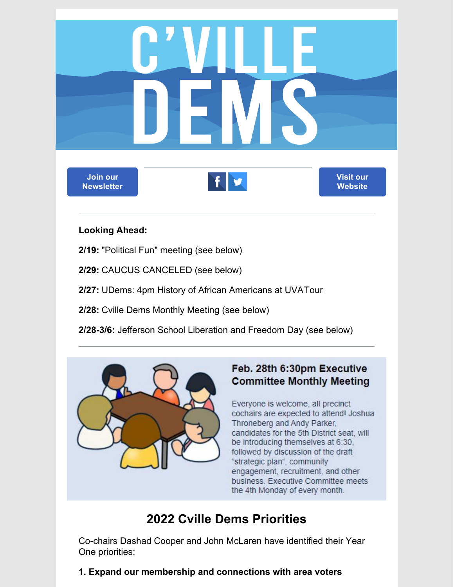

#### **Looking Ahead:**

**2/19:** "Political Fun" meeting (see below)

**2/29:** CAUCUS CANCELED (see below)

**2/27:** UDems: 4pm History of African Americans at UVA[Tour](https://docs.google.com/spreadsheets/d/14TGvfhKW0ogJskKNLcID2Tz_y8-6OwDWfYyQVm4kHGY/edit?usp=sharing)

**2/28:** Cville Dems Monthly Meeting (see below)

**2/28-3/6:** Jefferson School Liberation and Freedom Day (see below)



## Feb. 28th 6:30pm Executive **Committee Monthly Meeting**

Everyone is welcome, all precinct cochairs are expected to attend! Joshua Throneberg and Andy Parker, candidates for the 5th District seat, will be introducing themselves at 6:30, followed by discussion of the draft "strategic plan", community engagement, recruitment, and other business. Executive Committee meets the 4th Monday of every month.

# **2022 Cville Dems Priorities**

Co-chairs Dashad Cooper and John McLaren have identified their Year One priorities:

**1. Expand our membership and connections with area voters**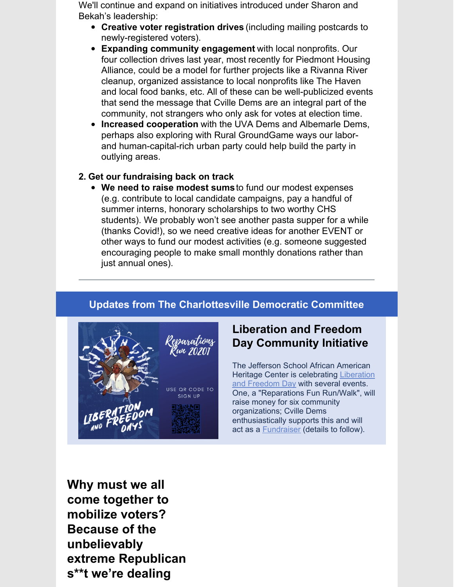We'll continue and expand on initiatives introduced under Sharon and Bekah's leadership:

- **Creative voter registration drives** (including mailing postcards to newly-registered voters).
- **Expanding community engagement** with local nonprofits. Our four collection drives last year, most recently for Piedmont Housing Alliance, could be a model for further projects like a Rivanna River cleanup, organized assistance to local nonprofits like The Haven and local food banks, etc. All of these can be well-publicized events that send the message that Cville Dems are an integral part of the community, not strangers who only ask for votes at election time.
- **Increased cooperation** with the UVA Dems and Albemarle Dems, perhaps also exploring with Rural GroundGame ways our laborand human-capital-rich urban party could help build the party in outlying areas.

#### **2. Get our fundraising back on track**

**We need to raise modest sums**to fund our modest expenses (e.g. contribute to local candidate campaigns, pay a handful of summer interns, honorary scholarships to two worthy CHS students). We probably won't see another pasta supper for a while (thanks Covid!), so we need creative ideas for another EVENT or other ways to fund our modest activities (e.g. someone suggested encouraging people to make small monthly donations rather than just annual ones).

### **Updates from The Charlottesville Democratic Committee**



## **Liberation and Freedom Day Community Initiative**

The Jefferson School African American Heritage Center is [celebrating](https://jeffschoolheritagecenter.org/events/liberation-and-freedom-days/) Liberation and Freedom Day with several events. One, a "Reparations Fun Run/Walk", will raise money for six community organizations; Cville Dems enthusiastically supports this and will act as a [Fundraiser](https://runsignup.com/Race/Donate/106316/BecomeFundraiser) (details to follow).

**Why must we all come together to mobilize voters? Because of the unbelievably extreme Republican s\*\*t we're dealing**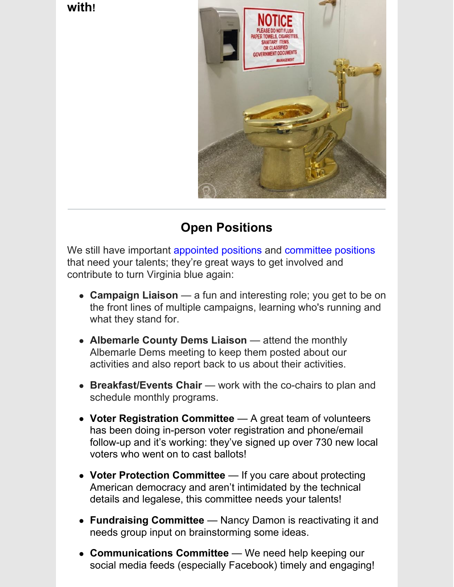**with!**



# **Open Positions**

We still have important [appointed](https://cvilledems.org/volunteer-opportunities/open-positions) positions and [committee](https://cvilledems.org/volunteer-opportunities/committees-that-need-members) positions that need your talents; they're great ways to get involved and contribute to turn Virginia blue again:

- **Campaign Liaison** a fun and interesting role; you get to be on the front lines of multiple campaigns, learning who's running and what they stand for.
- **Albemarle County Dems Liaison** attend the monthly Albemarle Dems meeting to keep them posted about our activities and also report back to us about their activities.
- **Breakfast/Events Chair** work with the co-chairs to plan and schedule monthly programs.
- **Voter Registration Committee** A great team of volunteers has been doing in-person voter registration and phone/email follow-up and it's working: they've signed up over 730 new local voters who went on to cast ballots!
- **Voter Protection Committee** If you care about protecting American democracy and aren't intimidated by the technical details and legalese, this committee needs your talents!
- **Fundraising Committee** Nancy Damon is reactivating it and needs group input on brainstorming some ideas.
- **Communications Committee** We need help keeping our social media feeds (especially Facebook) timely and engaging!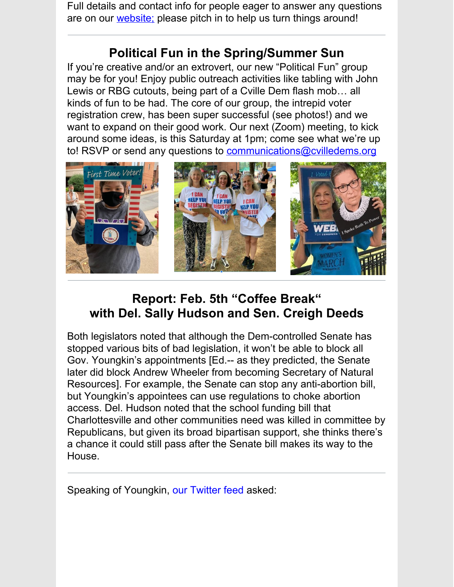Full details and contact info for people eager to answer any questions are on our [website;](https://cvilledems.org/volunteer-opportunities) please pitch in to help us turn things around!

# **Political Fun in the Spring/Summer Sun**

If you're creative and/or an extrovert, our new "Political Fun" group may be for you! Enjoy public outreach activities like tabling with John Lewis or RBG cutouts, being part of a Cville Dem flash mob… all kinds of fun to be had. The core of our group, the intrepid voter registration crew, has been super successful (see photos!) and we want to expand on their good work. Our next (Zoom) meeting, to kick around some ideas, is this Saturday at 1pm; come see what we're up to! RSVP or send any questions to [communications@cvilledems.org](mailto:communications@cvilledems.org.)



# **Report: Feb. 5th "Coffee Break" with Del. Sally Hudson and Sen. Creigh Deeds**

Both legislators noted that although the Dem-controlled Senate has stopped various bits of bad legislation, it won't be able to block all Gov. Youngkin's appointments [Ed.-- as they predicted, the Senate later did block Andrew Wheeler from becoming Secretary of Natural Resources]. For example, the Senate can stop any anti-abortion bill, but Youngkin's appointees can use regulations to choke abortion access. Del. Hudson noted that the school funding bill that Charlottesville and other communities need was killed in committee by Republicans, but given its broad bipartisan support, she thinks there's a chance it could still pass after the Senate bill makes its way to the House.

Speaking of Youngkin, our [Twitter](https://twitter.com/CvilleDems/) feed asked: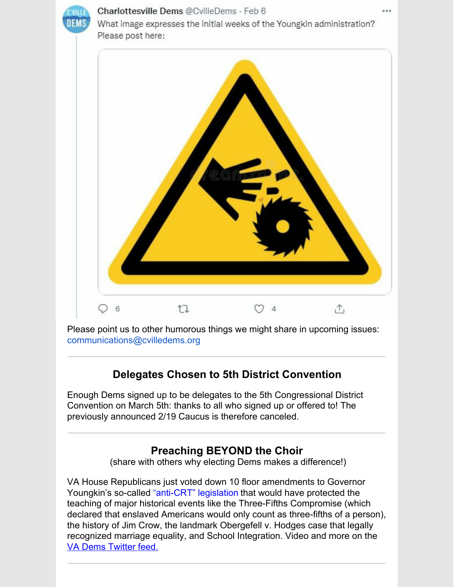

#### Charlottesville Dems @CvilleDems · Feb 6

What image expresses the initial weeks of the Youngkin administration? Please post here:



Please point us to other humorous things we might share in upcoming issues: [communications@cvilledems.org](mailto:communications@cvilledems.org)

## **Delegates Chosen to 5th District Convention**

Enough Dems signed up to be delegates to the 5th Congressional District Convention on March 5th: thanks to all who signed up or offered to! The previously announced 2/19 Caucus is therefore canceled.

### **Preaching BEYOND the Choir**

(share with others why electing Dems makes a difference!)

VA House Republicans just voted down 10 floor amendments to Governor Youngkin's so-called ["](https://click.ngpvan.com/k/41826139/3305)anti-CRT" [legislation](https://click.ngpvan.com/k/41826139/3305) that would have protected the teaching of major historical events like the Three-Fifths Compromise (which declared that enslaved Americans would only count as three-fifths of a person), the history of Jim Crow, the landmark Obergefell v. Hodges case that legally recognized marriage equality, and School Integration. Video and more on the VA Dems [Twitter](https://twitter.com/CvilleDems) feed.